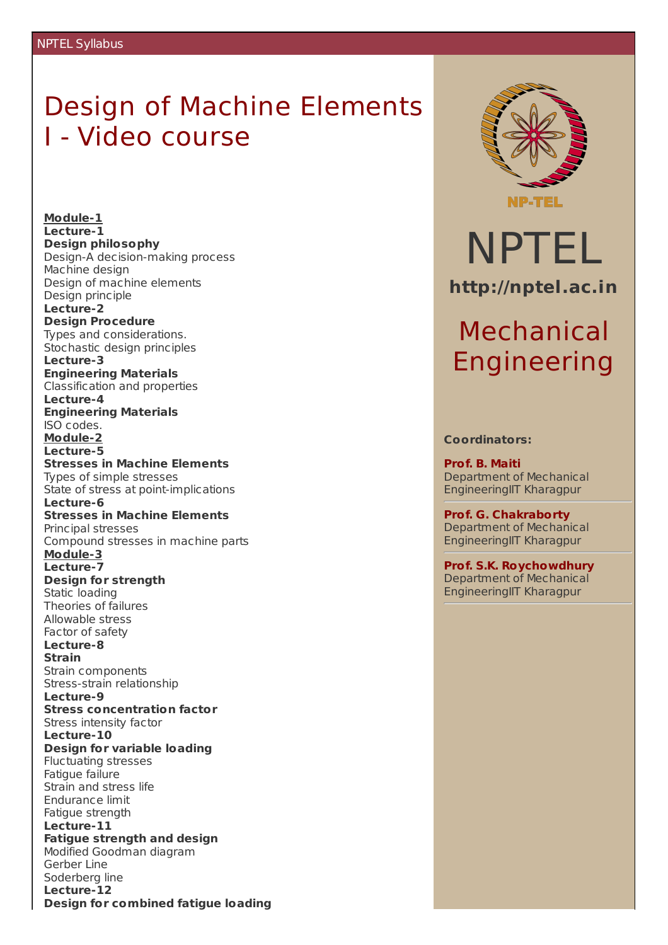### Design of Machine Elements I - Video course

**Module-1 Lecture-1 Design philosophy** Design-A decision-making process Machine design Design of machine elements Design principle **Lecture-2 Design Procedure** Types and considerations. Stochastic design principles **Lecture-3 Engineering Materials** Classification and properties **Lecture-4 Engineering Materials** ISO codes. **Module-2 Lecture-5 Stresses in Machine Elements** Types of simple stresses State of stress at point-implications **Lecture-6 Stresses in Machine Elements** Principal stresses Compound stresses in machine parts **Module-3 Lecture-7 Design for strength** Static loading Theories of failures Allowable stress Factor of safety **Lecture-8 Strain** Strain components Stress-strain relationship **Lecture-9 Stress concentration factor** Stress intensity factor **Lecture-10 Design for variable loading** Fluctuating stresses Fatigue failure Strain and stress life Endurance limit Fatigue strength **Lecture-11 Fatigue strength and design** Modified Goodman diagram Gerber Line Soderberg line **Lecture-12 Design for combined fatigue loading**



# NPTEL **http://nptel.ac.in**

## Mechanical Engineering

#### **Coordinators:**

**Prof. B. Maiti** Department of Mechanical EngineeringIIT Kharagpur

**Prof. G. Chakraborty** Department of Mechanical EngineeringIIT Kharagpur

**Prof. S.K. Roychowdhury** Department of Mechanical EngineeringIIT Kharagpur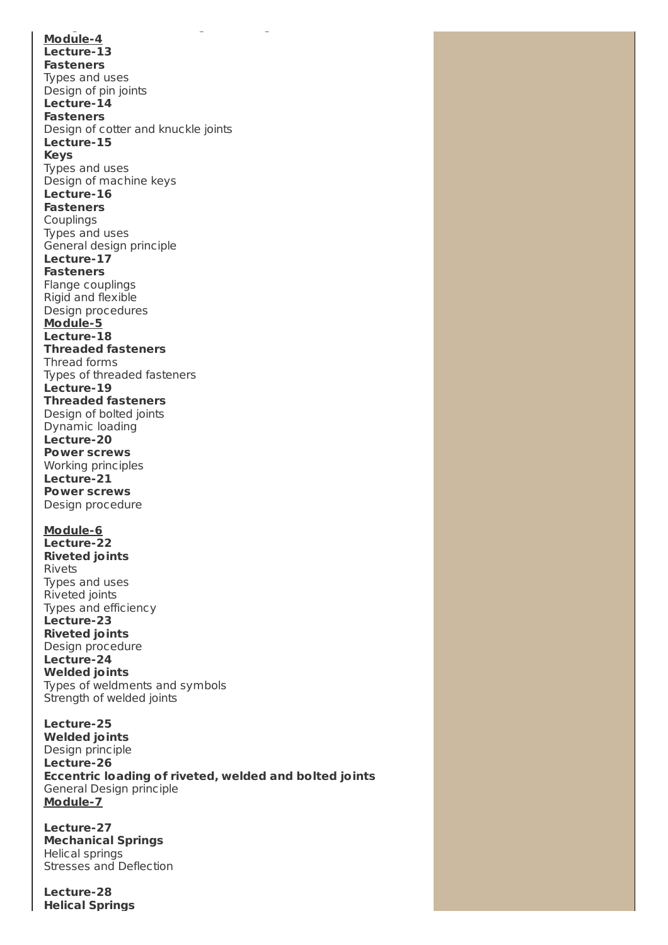**Design for combined fatigue loading Module-4 Lecture-13 Fasteners** Types and uses Design of pin joints **Lecture-14 Fasteners** Design of cotter and knuckle joints **Lecture-15 Keys** Types and uses Design of machine keys **Lecture-16 Fasteners** Couplings Types and uses General design principle **Lecture-17 Fasteners** Flange couplings Rigid and flexible Design procedures **Module-5 Lecture-18 Threaded fasteners** Thread forms Types of threaded fasteners **Lecture-19 Threaded fasteners** Design of bolted joints Dynamic loading **Lecture-20 Power screws** Working principles **Lecture-21 Power screws** Design procedure **Module-6 Lecture-22 Riveted joints** Rivets Types and uses Riveted joints Types and efficiency **Lecture-23 Riveted joints** Design procedure **Lecture-24 Welded joints** Types of weldments and symbols Strength of welded joints **Lecture-25 Welded joints**

Design principle **Lecture-26 Eccentric loading of riveted, welded and bolted joints** General Design principle **Module-7**

**Lecture-27 Mechanical Springs** Helical springs Stresses and Deflection

**Lecture-28 Helical Springs**